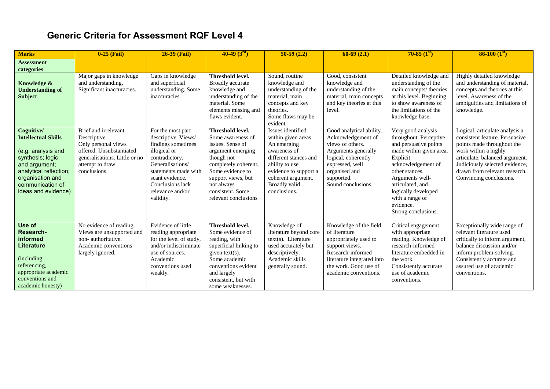## **Generic Criteria for Assessment RQF Level 4**

| <b>Marks</b>                                                                                                                                                                                 | $0-25$ (Fail)                                                                                                                                                | <b>26-39 (Fail)</b>                                                                                                                                                                                                  | $40-49(3rd)$                                                                                                                                                                                                             | $50-59(2.2)$                                                                                                                                                                                              | $60-69(2.1)$                                                                                                                                                                             | $70-85~(1st)$                                                                                                                                                                                                                                                             | $86-100(1st)$                                                                                                                                                                                                                                          |
|----------------------------------------------------------------------------------------------------------------------------------------------------------------------------------------------|--------------------------------------------------------------------------------------------------------------------------------------------------------------|----------------------------------------------------------------------------------------------------------------------------------------------------------------------------------------------------------------------|--------------------------------------------------------------------------------------------------------------------------------------------------------------------------------------------------------------------------|-----------------------------------------------------------------------------------------------------------------------------------------------------------------------------------------------------------|------------------------------------------------------------------------------------------------------------------------------------------------------------------------------------------|---------------------------------------------------------------------------------------------------------------------------------------------------------------------------------------------------------------------------------------------------------------------------|--------------------------------------------------------------------------------------------------------------------------------------------------------------------------------------------------------------------------------------------------------|
| <b>Assessment</b><br>categories                                                                                                                                                              |                                                                                                                                                              |                                                                                                                                                                                                                      |                                                                                                                                                                                                                          |                                                                                                                                                                                                           |                                                                                                                                                                                          |                                                                                                                                                                                                                                                                           |                                                                                                                                                                                                                                                        |
| Knowledge &<br><b>Understanding of</b><br><b>Subject</b>                                                                                                                                     | Major gaps in knowledge<br>and understanding.<br>Significant inaccuracies.                                                                                   | Gaps in knowledge<br>and superficial<br>understanding. Some<br>inaccuracies.                                                                                                                                         | <b>Threshold level.</b><br>Broadly accurate<br>knowledge and<br>understanding of the<br>material. Some<br>elements missing and<br>flaws evident.                                                                         | Sound, routine<br>knowledge and<br>understanding of the<br>material, main<br>concepts and key<br>theories.<br>Some flaws may be<br>evident.                                                               | Good, consistent<br>knowledge and<br>understanding of the<br>material, main concepts<br>and key theories at this<br>level.                                                               | Detailed knowledge and<br>understanding of the<br>main concepts/ theories<br>at this level. Beginning<br>to show awareness of<br>the limitations of the<br>knowledge base.                                                                                                | Highly detailed knowledge<br>and understanding of material,<br>concepts and theories at this<br>level. Awareness of the<br>ambiguities and limitations of<br>knowledge.                                                                                |
| Cognitive/<br><b>Intellectual Skills</b><br>(e.g. analysis and<br>synthesis; logic<br>and argument;<br>analytical reflection;<br>organisation and<br>communication of<br>ideas and evidence) | Brief and irrelevant.<br>Descriptive.<br>Only personal views<br>offered. Unsubstantiated<br>generalisations. Little or no<br>attempt to draw<br>conclusions. | For the most part<br>descriptive. Views/<br>findings sometimes<br>illogical or<br>contradictory.<br>Generalisations/<br>statements made with<br>scant evidence.<br>Conclusions lack<br>relevance and/or<br>validity. | Threshold level.<br>Some awareness of<br>issues. Sense of<br>argument emerging<br>though not<br>completely coherent.<br>Some evidence to<br>support views, but<br>not always<br>consistent. Some<br>relevant conclusions | Issues identified<br>within given areas.<br>An emerging<br>awareness of<br>different stances and<br>ability to use<br>evidence to support a<br>coherent argument.<br><b>Broadly valid</b><br>conclusions. | Good analytical ability.<br>Acknowledgement of<br>views of others.<br>Arguments generally<br>logical, coherently<br>expressed, well<br>organised and<br>supported.<br>Sound conclusions. | Very good analysis<br>throughout. Perceptive<br>and persuasive points<br>made within given area.<br>Explicit<br>acknowledgement of<br>other stances.<br>Arguments well-<br>articulated, and<br>logically developed<br>with a range of<br>evidence.<br>Strong conclusions. | Logical, articulate analysis a<br>consistent feature. Persuasive<br>points made throughout the<br>work within a highly<br>articulate, balanced argument.<br>Judiciously selected evidence,<br>drawn from relevant research.<br>Convincing conclusions. |
| Use of<br>Research-<br>informed<br>Literature<br>(including)<br>referencing,<br>appropriate academic<br>conventions and<br>academic honesty)                                                 | No evidence of reading.<br>Views are unsupported and<br>non-authoritative.<br>Academic conventions<br>largely ignored.                                       | Evidence of little<br>reading appropriate<br>for the level of study,<br>and/or indiscriminate<br>use of sources.<br>Academic<br>conventions used<br>weakly.                                                          | Threshold level.<br>Some evidence of<br>reading, with<br>superficial linking to<br>given $text(s)$ .<br>Some academic<br>conventions evident<br>and largely<br>consistent, but with<br>some weaknesses.                  | Knowledge of<br>literature beyond core<br>$text(s)$ . Literature<br>used accurately but<br>descriptively.<br>Academic skills<br>generally sound.                                                          | Knowledge of the field<br>of literature<br>appropriately used to<br>support views.<br>Research-informed<br>literature integrated into<br>the work. Good use of<br>academic conventions.  | Critical engagement<br>with appropriate<br>reading. Knowledge of<br>research-informed<br>literature embedded in<br>the work.<br>Consistently accurate<br>use of academic<br>conventions.                                                                                  | Exceptionally wide range of<br>relevant literature used<br>critically to inform argument,<br>balance discussion and/or<br>inform problem-solving.<br>Consistently accurate and<br>assured use of academic<br>conventions.                              |